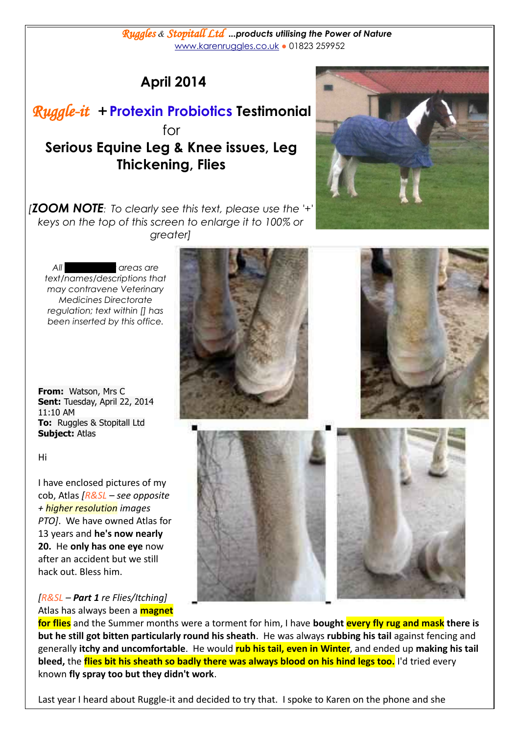Last year I heard about Ruggle-it and decided to try that. I spoke to Karen on the phone and she

*Ruggles & Stopitall Ltd ...products utilising the Power of Nature*  [www.karenruggles.co.uk](http://www.karenruggles.co.uk/) *●* 01823 259952

## **April 2014**

*Ruggle-it +* **Protexin Probiotics****Testimonial** for **Serious Equine Leg & Knee issues, Leg Thickening, Flies**

*[ZOOM NOTE: To clearly see this text, please use the '+' keys on the top of this screen to enlarge it to 100% or greater]*

*All blacked out areas are text/names/descriptions that may contravene Veterinary Medicines Directorate regulation; text within [] has been inserted by this office.*

**From:** Watson, Mrs C **Sent:** Tuesday, April 22, 2014 11:10 AM **To:** Ruggles & Stopitall Ltd **Subject:** Atlas

Hi

I have enclosed pictures of my cob, Atlas *[R&SL – see opposite + higher resolution images PTO]*. We have owned Atlas for 13 years and **he's now nearly 20.** He **only has one eye** now after an accident but we still hack out. Bless him.

*[R&SL – Part 1 re Flies/Itching]* Atlas has always been a **magnet**

**for flies** and the Summer months were a torment for him, I have **bought every fly rug and mask there is but he still got bitten particularly round his sheath**. He was always **rubbing his tail** against fencing and generally **itchy and uncomfortable**. He would **rub his tail, even in Winter**, and ended up **making his tail bleed,** the **flies bit his sheath so badly there was always blood on his hind legs too.** I'd tried every known **fly spray too but they didn't work**.



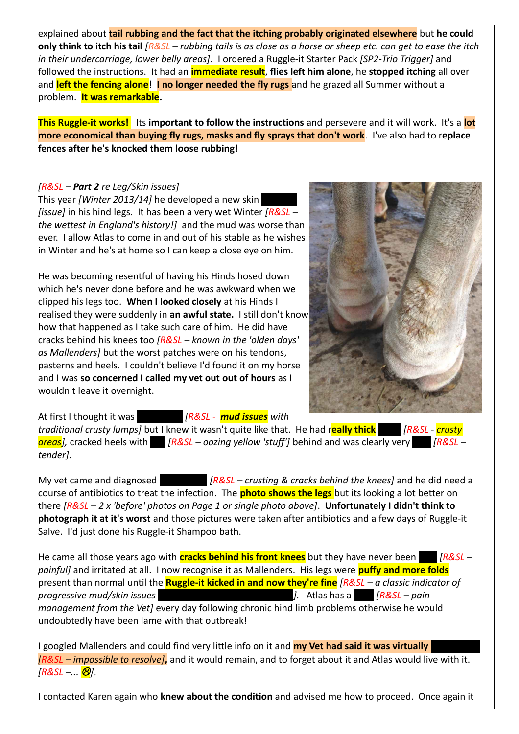explained about **tail rubbing and the fact that the itching probably originated elsewhere** but **he could only think to itch his tail** *[R&SL – rubbing tails is as close as a horse or sheep etc. can get to ease the itch in their undercarriage, lower belly areas]***.** I ordered a Ruggle-it Starter Pack *[SP2-Trio Trigger]* and followed the instructions. It had an **immediate result**, **flies left him alone**, he **stopped itching** all over and **left the fencing alone**! **I no longer needed the fly rugs** and he grazed all Summer without a problem. **It was remarkable.**

**This Ruggle-it works!** Its **important to follow the instructions** and persevere and it will work. It's a **lot more economical than buying fly rugs, masks and fly sprays that don't work**. I've also had to r**eplace fences after he's knocked them loose rubbing!**

## *[R&SL – Part 2 re Leg/Skin issues]*

This year *[Winter 2013/14]* he developed a new skin *[issue]* in his hind legs. It has been a very wet Winter *[R&SL – the wettest in England's history!]* and the mud was worse than ever. I allow Atlas to come in and out of his stable as he wishes in Winter and he's at home so I can keep a close eye on him.

He was becoming resentful of having his Hinds hosed down which he's never done before and he was awkward when we clipped his legs too. **When I looked closely** at his Hinds I realised they were suddenly in **an awful state.** I still don't know how that happened as I take such care of him. He did have cracks behind his knees too *[R&SL – known in the 'olden days' as Mallenders]* but the worst patches were on his tendons, pasterns and heels. I couldn't believe I'd found it on my horse and I was **so concerned I called my vet out out of hours** as I wouldn't leave it overnight.



At first I thought it was **Number 1888** - *nud issues* with

*traditional crusty lumps]* but I knew it wasn't quite like that. He had r**eally thick** scabs *[R&SL* - *crusty areas],* cracked heels with *[R&SL – oozing yellow 'stuff']* behind and was clearly very *[R&SL – tender]*.

My vet came and diagnosed Mallenders *[R&SL – crusting & cracks behind the knees]* and he did need a course of antibiotics to treat the infection. The **photo shows the legs** but its looking a lot better on there *[R&SL – 2 x 'before' photos on Page 1 or single photo above]*. **Unfortunately I didn't think to photograph it at it's worst** and those pictures were taken after antibiotics and a few days of Ruggle-it Salve. I'd just done his Ruggle-it Shampoo bath.

He came all those years ago with **cracks behind his front knees** but they have never been **[R&SL –** *painful]* and irritated at all. I now recognise it as Mallenders. His legs were **puffy and more folds** present than normal until the **Ruggle-it kicked in and now they're fine** *[R&SL – a classic indicator of progressive mud/skin issues* (*progressive mud/skin issues* for the state of *[R&SL – pain*]. Atlas has a  $\frac{1}{2}$  [R&SL – pain *management from the Vet]* every day following chronic hind limb problems otherwise he would undoubtedly have been lame with that outbreak!

I googled Mallenders and could find very little info on it and **my Vet had said it was virtually** *[R&SL – impossible to resolve]***,** and it would remain, and to forget about it and Atlas would live with it. *[R&SL –... ].*

I contacted Karen again who **knew about the condition** and advised me how to proceed. Once again it